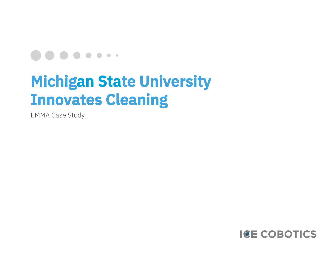### 

# **Michigan State University Innovates Cleaning**

EMMA Case Study

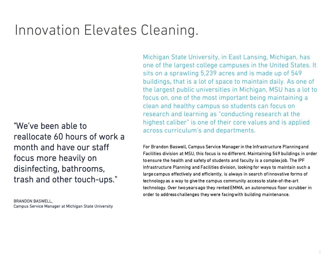# Innovation Elevates Cleaning.

"We've been able to reallocate 60 hours of work a month and have our staff focus more heavily on disinfecting, bathrooms, trash and other touch-ups."

BRANDON BASWELL, Campus Service Manager at Michigan State University Michigan State University, in East Lansing, Michigan, has one of the largest college campuses in the United States. It sits on a sprawling 5,239 acres and is made up of 549 buildings, that is a lot of space to maintain daily. As one of the largest public universities in Michigan, MSU has a lot to focus on, one of the most important being maintaining a clean and healthy campus so students can focus on research and learning as "conducting research at the highest caliber" is one of their core values and is applied across curriculum's and departments.

For Brandon Baswell, Campus Service Manager in the Infrastructure Planning and Facilities division at MSU, this focus is no different. Maintaining 549 buildings in order to ensure the health and safety of students and faculty is a complex job. The IPF Infrastructure Planning and Facilities division, looking for ways to maintain such a large campus effectively and efficiently, is always in search of innovative forms of technology as a way to give the campus community access to state-of-the-art technology. Over two years ago they rented EMMA, an autonomous floor scrubber in order to address challenges they were facing with building maintenance.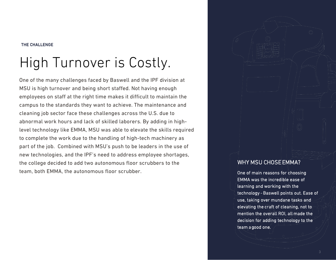#### THE CHALLENGE

# High Turnover is Costly.

One of the many challenges faced by Baswell and the IPF division at MSU is high turnover and being short staffed. Not having enough employees on staff at the right time makes it difficult to maintain the campus to the standards they want to achieve. The maintenance and cleaning job sector face these challenges across the U.S. due to abnormal work hours and lack of skilled laborers. By adding in highlevel technology like EMMA, MSU was able to elevate the skills required to complete the work due to the handling of high-tech machinery as part of the job. Combined with MSU's push to be leaders in the use of new technologies, and the IPF's need to address employee shortages, the college decided to add two autonomous floor scrubbers to the team, both EMMA, the autonomous floor scrubber.

#### WHY MSU CHOSE EMMA?

One of main reasons for choosing EMMA was the incredible ease of learning and working with the technology - Baswell points out. Ease of use, taking over mundane tasks and elevating the craft of cleaning, not to mention the overall ROI, all made the decision for adding technology to the team a good one.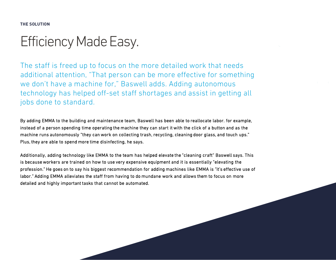**THE SOLUTION**

## Efficiency Made Easy.

The staff is freed up to focus on the more detailed work that needs additional attention, "That person can be more effective for something we don't have a machine for," Baswell adds. Adding autonomous technology has helped off-set staff shortages and assist in getting all jobs done to standard.

By adding EMMA to the building and maintenance team, Baswell has been able to reallocate labor. for example, instead of a person spending time operating the machine they can start it with the click of a button and as the machine runs autonomously "they can work on collecting trash, recycling, cleaning door glass, and touch ups." Plus, they are able to spend more time disinfecting, he says.

Additionally, adding technology like EMMA to the team has helped elevate the "cleaning craft" Baswell says. This is because workers are trained on how to use very expensive equipment and it is essentially "elevating the profession." He goes on to say his biggest recommendation for adding machines like EMMA is "it's effective use of labor." Adding EMMA alleviates the staff from having to do mundane work and allows them to focus on more detailed and highly important tasks that cannot be automated.